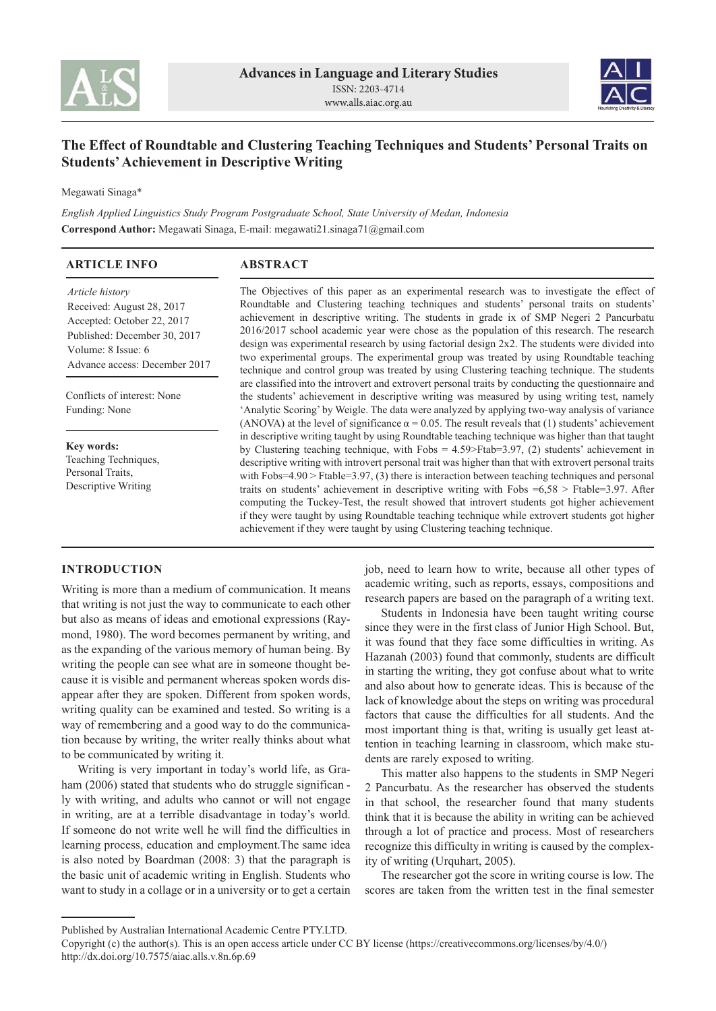



# **The Effect of Roundtable and Clustering Teaching Techniques and Students' Personal Traits on Students' Achievement in Descriptive Writing**

Megawati Sinaga\*

*English Applied Linguistics Study Program Postgraduate School, State University of Medan, Indonesia* **Correspond Author:** Megawati Sinaga, E-mail: megawati21.sinaga71@gmail.com

#### **ABSTRACT ARTICLE INFO**

| Article history               |
|-------------------------------|
| Received: August 28, 2017     |
| Accepted: October 22, 2017    |
| Published: December 30, 2017  |
| Volume: 8 Issue: 6            |
| Advance access: December 2017 |

Conflicts of interest: None Funding: None

**Key words:** Teaching Techniques, Personal Traits, Descriptive Writing

The Objectives of this paper as an experimental research was to investigate the effect of Roundtable and Clustering teaching techniques and students' personal traits on students' achievement in descriptive writing. The students in grade ix of SMP Negeri 2 Pancurbatu 2016/2017 school academic year were chose as the population of this research. The research design was experimental research by using factorial design 2x2. The students were divided into two experimental groups. The experimental group was treated by using Roundtable teaching technique and control group was treated by using Clustering teaching technique. The students are classified into the introvert and extrovert personal traits by conducting the questionnaire and the students' achievement in descriptive writing was measured by using writing test, namely 'Analytic Scoring' by Weigle. The data were analyzed by applying two-way analysis of variance (ANOVA) at the level of significance  $\alpha = 0.05$ . The result reveals that (1) students' achievement in descriptive writing taught by using Roundtable teaching technique was higher than that taught by Clustering teaching technique, with Fobs = 4.59>Ftab=3.97, (2) students' achievement in descriptive writing with introvert personal trait was higher than that with extrovert personal traits with Fobs=4.90 > Ftable=3.97, (3) there is interaction between teaching techniques and personal traits on students' achievement in descriptive writing with Fobs =6,58 > Ftable=3.97. After computing the Tuckey-Test, the result showed that introvert students got higher achievement if they were taught by using Roundtable teaching technique while extrovert students got higher achievement if they were taught by using Clustering teaching technique.

### **INTRODUCTION**

Writing is more than a medium of communication. It means that writing is not just the way to communicate to each other but also as means of ideas and emotional expressions (Raymond, 1980). The word becomes permanent by writing, and as the expanding of the various memory of human being. By writing the people can see what are in someone thought because it is visible and permanent whereas spoken words disappear after they are spoken. Different from spoken words, writing quality can be examined and tested. So writing is a way of remembering and a good way to do the communication because by writing, the writer really thinks about what to be communicated by writing it.

Writing is very important in today's world life, as Graham (2006) stated that students who do struggle significan ly with writing, and adults who cannot or will not engage in writing, are at a terrible disadvantage in today's world. If someone do not write well he will find the difficulties in learning process, education and employment.The same idea is also noted by Boardman (2008: 3) that the paragraph is the basic unit of academic writing in English. Students who want to study in a collage or in a university or to get a certain

job, need to learn how to write, because all other types of academic writing, such as reports, essays, compositions and research papers are based on the paragraph of a writing text.

Students in Indonesia have been taught writing course since they were in the first class of Junior High School. But, it was found that they face some difficulties in writing. As Hazanah (2003) found that commonly, students are difficult in starting the writing, they got confuse about what to write and also about how to generate ideas. This is because of the lack of knowledge about the steps on writing was procedural factors that cause the difficulties for all students. And the most important thing is that, writing is usually get least attention in teaching learning in classroom, which make students are rarely exposed to writing.

This matter also happens to the students in SMP Negeri 2 Pancurbatu. As the researcher has observed the students in that school, the researcher found that many students think that it is because the ability in writing can be achieved through a lot of practice and process. Most of researchers recognize this difficulty in writing is caused by the complexity of writing (Urquhart, 2005).

The researcher got the score in writing course is low. The scores are taken from the written test in the final semester

Published by Australian International Academic Centre PTY.LTD.

Copyright (c) the author(s). This is an open access article under CC BY license (https://creativecommons.org/licenses/by/4.0/) http://dx.doi.org/10.7575/aiac.alls.v.8n.6p.69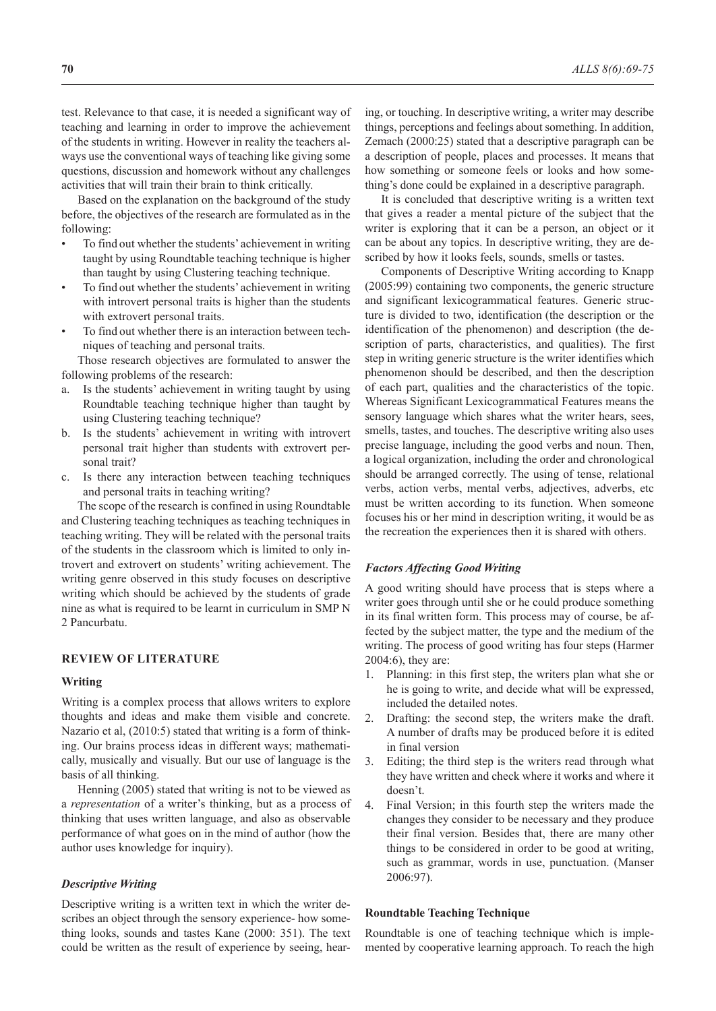test. Relevance to that case, it is needed a significant way of teaching and learning in order to improve the achievement of the students in writing. However in reality the teachers always use the conventional ways of teaching like giving some questions, discussion and homework without any challenges activities that will train their brain to think critically.

Based on the explanation on the background of the study before, the objectives of the research are formulated as in the following:

- To find out whether the students' achievement in writing taught by using Roundtable teaching technique is higher than taught by using Clustering teaching technique.
- To find out whether the students' achievement in writing with introvert personal traits is higher than the students with extrovert personal traits.
- To find out whether there is an interaction between techniques of teaching and personal traits.

Those research objectives are formulated to answer the following problems of the research:

- a. Is the students' achievement in writing taught by using Roundtable teaching technique higher than taught by using Clustering teaching technique?
- b. Is the students' achievement in writing with introvert personal trait higher than students with extrovert personal trait?
- c. Is there any interaction between teaching techniques and personal traits in teaching writing?

The scope of the research is confined in using Roundtable and Clustering teaching techniques as teaching techniques in teaching writing. They will be related with the personal traits of the students in the classroom which is limited to only introvert and extrovert on students' writing achievement. The writing genre observed in this study focuses on descriptive writing which should be achieved by the students of grade nine as what is required to be learnt in curriculum in SMP N 2 Pancurbatu.

### **REVIEW OF LITERATURE**

#### **Writing**

Writing is a complex process that allows writers to explore thoughts and ideas and make them visible and concrete. Nazario et al, (2010:5) stated that writing is a form of thinking. Our brains process ideas in different ways; mathematically, musically and visually. But our use of language is the basis of all thinking.

Henning (2005) stated that writing is not to be viewed as a *representation* of a writer's thinking, but as a process of thinking that uses written language, and also as observable performance of what goes on in the mind of author (how the author uses knowledge for inquiry).

### *Descriptive Writing*

Descriptive writing is a written text in which the writer describes an object through the sensory experience- how something looks, sounds and tastes Kane (2000: 351). The text could be written as the result of experience by seeing, hearing, or touching. In descriptive writing, a writer may describe things, perceptions and feelings about something. In addition, Zemach (2000:25) stated that a descriptive paragraph can be a description of people, places and processes. It means that how something or someone feels or looks and how something's done could be explained in a descriptive paragraph.

It is concluded that descriptive writing is a written text that gives a reader a mental picture of the subject that the writer is exploring that it can be a person, an object or it can be about any topics. In descriptive writing, they are described by how it looks feels, sounds, smells or tastes.

Components of Descriptive Writing according to Knapp (2005:99) containing two components, the generic structure and significant lexicogrammatical features. Generic structure is divided to two, identification (the description or the identification of the phenomenon) and description (the description of parts, characteristics, and qualities). The first step in writing generic structure is the writer identifies which phenomenon should be described, and then the description of each part, qualities and the characteristics of the topic. Whereas Significant Lexicogrammatical Features means the sensory language which shares what the writer hears, sees, smells, tastes, and touches. The descriptive writing also uses precise language, including the good verbs and noun. Then, a logical organization, including the order and chronological should be arranged correctly. The using of tense, relational verbs, action verbs, mental verbs, adjectives, adverbs, etc must be written according to its function. When someone focuses his or her mind in description writing, it would be as the recreation the experiences then it is shared with others.

### *Factors Affecting Good Writing*

A good writing should have process that is steps where a writer goes through until she or he could produce something in its final written form. This process may of course, be affected by the subject matter, the type and the medium of the writing. The process of good writing has four steps (Harmer 2004:6), they are:

- 1. Planning: in this first step, the writers plan what she or he is going to write, and decide what will be expressed, included the detailed notes.
- 2. Drafting: the second step, the writers make the draft. A number of drafts may be produced before it is edited in final version
- 3. Editing; the third step is the writers read through what they have written and check where it works and where it doesn't.
- 4. Final Version; in this fourth step the writers made the changes they consider to be necessary and they produce their final version. Besides that, there are many other things to be considered in order to be good at writing, such as grammar, words in use, punctuation. (Manser 2006:97).

### **Roundtable Teaching Technique**

Roundtable is one of teaching technique which is implemented by cooperative learning approach. To reach the high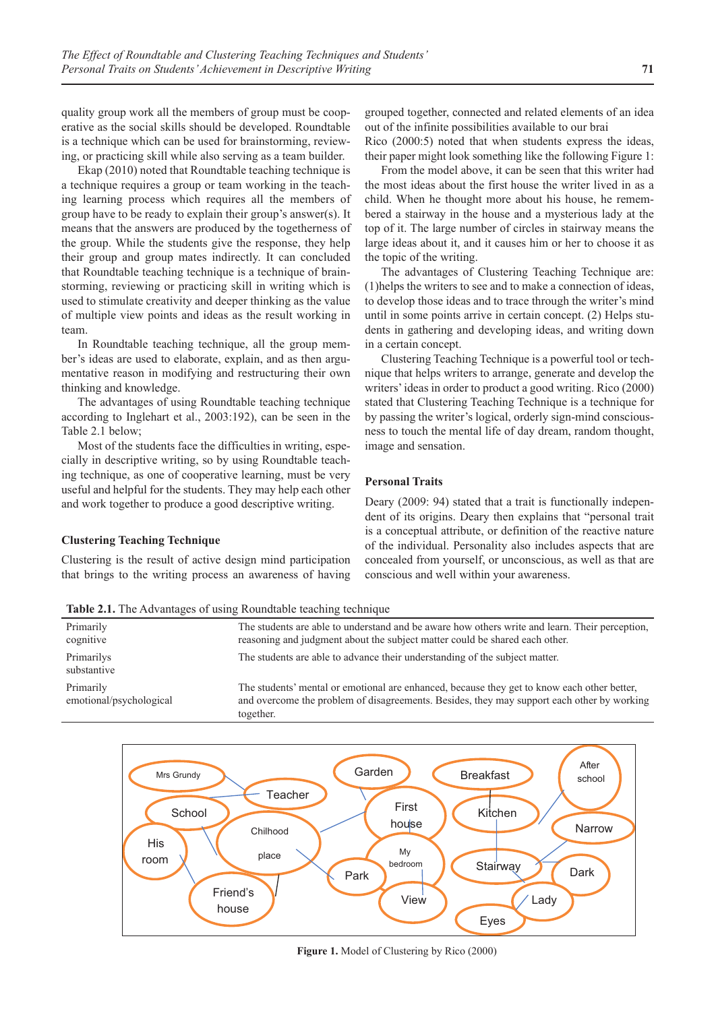quality group work all the members of group must be cooperative as the social skills should be developed. Roundtable is a technique which can be used for brainstorming, reviewing, or practicing skill while also serving as a team builder.

Ekap (2010) noted that Roundtable teaching technique is a technique requires a group or team working in the teaching learning process which requires all the members of group have to be ready to explain their group's answer(s). It means that the answers are produced by the togetherness of the group. While the students give the response, they help their group and group mates indirectly. It can concluded that Roundtable teaching technique is a technique of brainstorming, reviewing or practicing skill in writing which is used to stimulate creativity and deeper thinking as the value of multiple view points and ideas as the result working in team.

In Roundtable teaching technique, all the group member's ideas are used to elaborate, explain, and as then argumentative reason in modifying and restructuring their own thinking and knowledge.

The advantages of using Roundtable teaching technique according to Inglehart et al., 2003:192), can be seen in the Table 2.1 below;

Most of the students face the difficulties in writing, especially in descriptive writing, so by using Roundtable teaching technique, as one of cooperative learning, must be very useful and helpful for the students. They may help each other and work together to produce a good descriptive writing.

### **Clustering Teaching Technique**

Clustering is the result of active design mind participation that brings to the writing process an awareness of having

grouped together, connected and related elements of an idea out of the infinite possibilities available to our brai Rico (2000:5) noted that when students express the ideas,

their paper might look something like the following Figure 1: From the model above, it can be seen that this writer had the most ideas about the first house the writer lived in as a child. When he thought more about his house, he remembered a stairway in the house and a mysterious lady at the top of it. The large number of circles in stairway means the large ideas about it, and it causes him or her to choose it as the topic of the writing.

The advantages of Clustering Teaching Technique are: (1)helps the writers to see and to make a connection of ideas, to develop those ideas and to trace through the writer's mind until in some points arrive in certain concept. (2) Helps students in gathering and developing ideas, and writing down in a certain concept.

Clustering Teaching Technique is a powerful tool or technique that helps writers to arrange, generate and develop the writers' ideas in order to product a good writing. Rico (2000) stated that Clustering Teaching Technique is a technique for by passing the writer's logical, orderly sign-mind consciousness to touch the mental life of day dream, random thought, image and sensation.

### **Personal Traits**

Deary (2009: 94) stated that a trait is functionally independent of its origins. Deary then explains that "personal trait is a conceptual attribute, or definition of the reactive nature of the individual. Personality also includes aspects that are concealed from yourself, or unconscious, as well as that are conscious and well within your awareness.

**Table 2.1.** The Advantages of using Roundtable teaching technique

| Primarily<br>cognitive               | The students are able to understand and be aware how others write and learn. Their perception,<br>reasoning and judgment about the subject matter could be shared each other.                          |
|--------------------------------------|--------------------------------------------------------------------------------------------------------------------------------------------------------------------------------------------------------|
| Primarilys<br>substantive            | The students are able to advance their understanding of the subject matter.                                                                                                                            |
| Primarily<br>emotional/psychological | The students' mental or emotional are enhanced, because they get to know each other better,<br>and overcome the problem of disagreements. Besides, they may support each other by working<br>together. |



**Figure 1.** Model of Clustering by Rico (2000)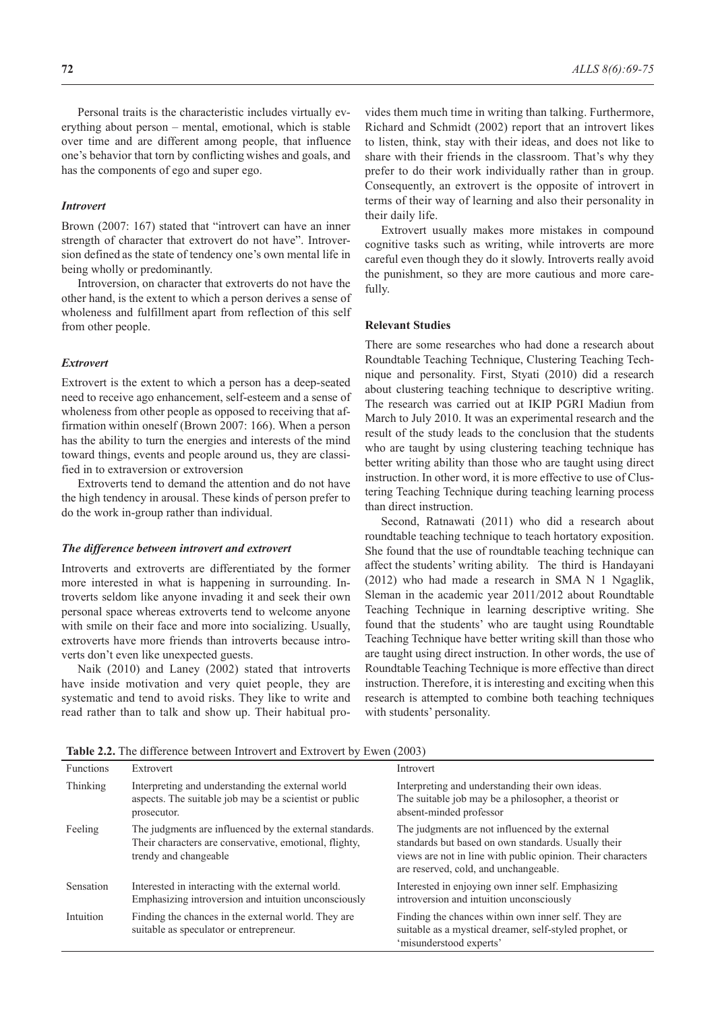Personal traits is the characteristic includes virtually everything about person – mental, emotional, which is stable over time and are different among people, that influence one's behavior that torn by conflicting wishes and goals, and has the components of ego and super ego.

#### *Introvert*

Brown (2007: 167) stated that "introvert can have an inner strength of character that extrovert do not have". Introversion defined as the state of tendency one's own mental life in being wholly or predominantly.

Introversion, on character that extroverts do not have the other hand, is the extent to which a person derives a sense of wholeness and fulfillment apart from reflection of this self from other people.

#### *Extrovert*

Extrovert is the extent to which a person has a deep-seated need to receive ago enhancement, self-esteem and a sense of wholeness from other people as opposed to receiving that affirmation within oneself (Brown 2007: 166). When a person has the ability to turn the energies and interests of the mind toward things, events and people around us, they are classified in to extraversion or extroversion

Extroverts tend to demand the attention and do not have the high tendency in arousal. These kinds of person prefer to do the work in-group rather than individual.

### *The difference between introvert and extrovert*

Introverts and extroverts are differentiated by the former more interested in what is happening in surrounding. Introverts seldom like anyone invading it and seek their own personal space whereas extroverts tend to welcome anyone with smile on their face and more into socializing. Usually, extroverts have more friends than introverts because introverts don't even like unexpected guests.

Naik (2010) and Laney (2002) stated that introverts have inside motivation and very quiet people, they are systematic and tend to avoid risks. They like to write and read rather than to talk and show up. Their habitual provides them much time in writing than talking. Furthermore, Richard and Schmidt (2002) report that an introvert likes to listen, think, stay with their ideas, and does not like to share with their friends in the classroom. That's why they prefer to do their work individually rather than in group. Consequently, an extrovert is the opposite of introvert in terms of their way of learning and also their personality in their daily life.

Extrovert usually makes more mistakes in compound cognitive tasks such as writing, while introverts are more careful even though they do it slowly. Introverts really avoid the punishment, so they are more cautious and more carefully.

### **Relevant Studies**

There are some researches who had done a research about Roundtable Teaching Technique, Clustering Teaching Technique and personality. First, Styati (2010) did a research about clustering teaching technique to descriptive writing. The research was carried out at IKIP PGRI Madiun from March to July 2010. It was an experimental research and the result of the study leads to the conclusion that the students who are taught by using clustering teaching technique has better writing ability than those who are taught using direct instruction. In other word, it is more effective to use of Clustering Teaching Technique during teaching learning process than direct instruction.

Second, Ratnawati (2011) who did a research about roundtable teaching technique to teach hortatory exposition. She found that the use of roundtable teaching technique can affect the students' writing ability. The third is Handayani (2012) who had made a research in SMA N 1 Ngaglik, Sleman in the academic year 2011/2012 about Roundtable Teaching Technique in learning descriptive writing. She found that the students' who are taught using Roundtable Teaching Technique have better writing skill than those who are taught using direct instruction. In other words, the use of Roundtable Teaching Technique is more effective than direct instruction. Therefore, it is interesting and exciting when this research is attempted to combine both teaching techniques with students' personality.

| <b>Functions</b> | Extrovert                                                                                                                                  | Introvert                                                                                                                                                                                                       |
|------------------|--------------------------------------------------------------------------------------------------------------------------------------------|-----------------------------------------------------------------------------------------------------------------------------------------------------------------------------------------------------------------|
| Thinking         | Interpreting and understanding the external world<br>aspects. The suitable job may be a scientist or public<br>prosecutor.                 | Interpreting and understanding their own ideas.<br>The suitable job may be a philosopher, a theorist or<br>absent-minded professor                                                                              |
| Feeling          | The judgments are influenced by the external standards.<br>Their characters are conservative, emotional, flighty,<br>trendy and changeable | The judgments are not influenced by the external<br>standards but based on own standards. Usually their<br>views are not in line with public opinion. Their characters<br>are reserved, cold, and unchangeable. |
| Sensation        | Interested in interacting with the external world.<br>Emphasizing introversion and intuition unconsciously                                 | Interested in enjoying own inner self. Emphasizing<br>introversion and intuition unconsciously                                                                                                                  |
| Intuition        | Finding the chances in the external world. They are<br>suitable as speculator or entrepreneur.                                             | Finding the chances within own inner self. They are<br>suitable as a mystical dreamer, self-styled prophet, or<br>'misunderstood experts'                                                                       |

**Table 2.2.** The difference between Introvert and Extrovert by Ewen (2003)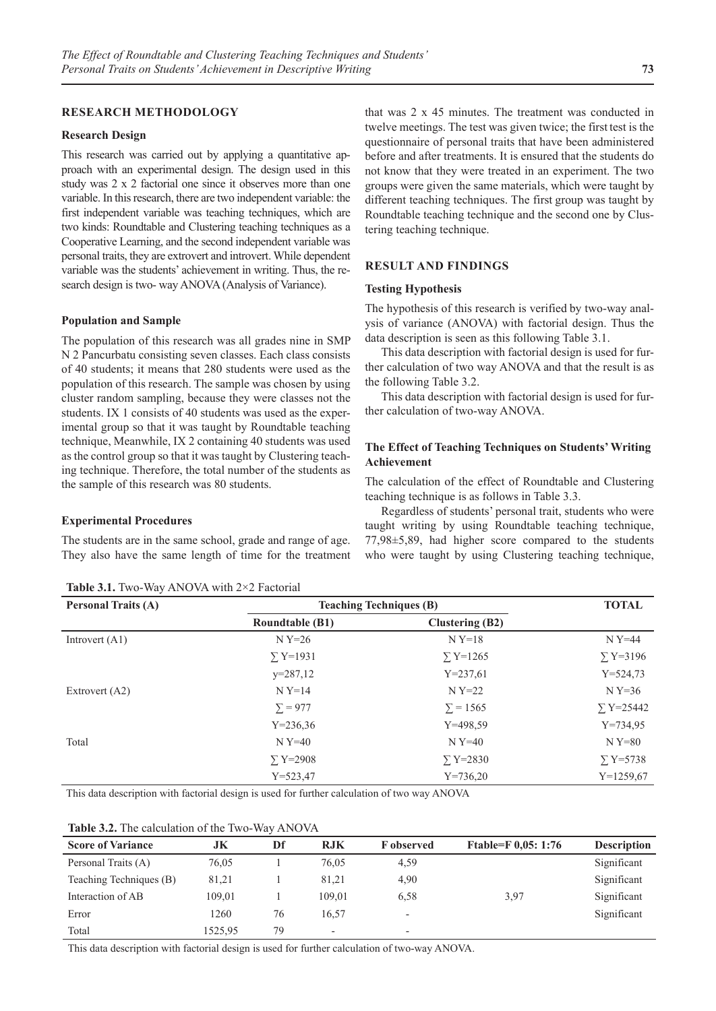### **RESEARCH METHODOLOGY**

#### **Research Design**

This research was carried out by applying a quantitative approach with an experimental design. The design used in this study was 2 x 2 factorial one since it observes more than one variable. In this research, there are two independent variable: the first independent variable was teaching techniques, which are two kinds: Roundtable and Clustering teaching techniques as a Cooperative Learning, and the second independent variable was personal traits, they are extrovert and introvert. While dependent variable was the students' achievement in writing. Thus, the research design is two- way ANOVA (Analysis of Variance).

### **Population and Sample**

The population of this research was all grades nine in SMP N 2 Pancurbatu consisting seven classes. Each class consists of 40 students; it means that 280 students were used as the population of this research. The sample was chosen by using cluster random sampling, because they were classes not the students. IX 1 consists of 40 students was used as the experimental group so that it was taught by Roundtable teaching technique, Meanwhile, IX 2 containing 40 students was used as the control group so that it was taught by Clustering teaching technique. Therefore, the total number of the students as the sample of this research was 80 students.

### **Experimental Procedures**

The students are in the same school, grade and range of age. They also have the same length of time for the treatment

that was 2 x 45 minutes. The treatment was conducted in twelve meetings. The test was given twice; the first test is the questionnaire of personal traits that have been administered before and after treatments. It is ensured that the students do not know that they were treated in an experiment. The two groups were given the same materials, which were taught by different teaching techniques. The first group was taught by Roundtable teaching technique and the second one by Clustering teaching technique.

#### **RESULT AND FINDINGS**

#### **Testing Hypothesis**

The hypothesis of this research is verified by two-way analysis of variance (ANOVA) with factorial design. Thus the data description is seen as this following Table 3.1.

This data description with factorial design is used for further calculation of two way ANOVA and that the result is as the following Table 3.2.

This data description with factorial design is used for further calculation of two-way ANOVA.

### **The Effect of Teaching Techniques on Students' Writing Achievement**

The calculation of the effect of Roundtable and Clustering teaching technique is as follows in Table 3.3.

Regardless of students' personal trait, students who were taught writing by using Roundtable teaching technique, 77,98±5,89, had higher score compared to the students who were taught by using Clustering teaching technique,

| <b>Personal Traits (A)</b> | <b>Teaching Techniques (B)</b> |                 | <b>TOTAL</b>     |
|----------------------------|--------------------------------|-----------------|------------------|
|                            | <b>Roundtable (B1)</b>         | Clustering (B2) |                  |
| Introvert $(A1)$           | $N Y=26$                       | $N Y=18$        | $N Y = 44$       |
|                            | $\Sigma$ Y=1931                | $\Sigma$ Y=1265 | $\Sigma$ Y=3196  |
|                            | $y=287,12$                     | $Y = 237,61$    | $Y = 524,73$     |
| Extrovert (A2)             | $N Y=14$                       | $N Y=22$        | $N Y=36$         |
|                            | $\Sigma = 977$                 | $\Sigma = 1565$ | $\Sigma$ Y=25442 |
|                            | $Y = 236,36$                   | $Y = 498,59$    | $Y=734,95$       |
| Total                      | $N Y=40$                       | $N Y=40$        | $N Y=80$         |
|                            | $\Sigma$ Y=2908                | $\Sigma$ Y=2830 | $\Sigma$ Y=5738  |
|                            | $Y = 523,47$                   | $Y=736,20$      | $Y=1259,67$      |

This data description with factorial design is used for further calculation of two way ANOVA

| <b>Table 3.2.</b> The calculation of the Two-Way ANOVA |  |  |  |
|--------------------------------------------------------|--|--|--|
|                                                        |  |  |  |

| <b>Score of Variance</b> | JK      | Df | <b>RJK</b>               | <b>F</b> observed        | Ftable= $F\ 0.05:1:76$ | <b>Description</b> |
|--------------------------|---------|----|--------------------------|--------------------------|------------------------|--------------------|
| Personal Traits (A)      | 76.05   |    | 76,05                    | 4,59                     |                        | Significant        |
| Teaching Techniques (B)  | 81,21   |    | 81.21                    | 4,90                     |                        | Significant        |
| Interaction of AB        | 109.01  |    | 109.01                   | 6,58                     | 3,97                   | Significant        |
| Error                    | 1260    | 76 | 16.57                    | $\overline{\phantom{0}}$ |                        | Significant        |
| Total                    | 1525.95 | 79 | $\overline{\phantom{0}}$ | $\overline{\phantom{0}}$ |                        |                    |

This data description with factorial design is used for further calculation of two-way ANOVA.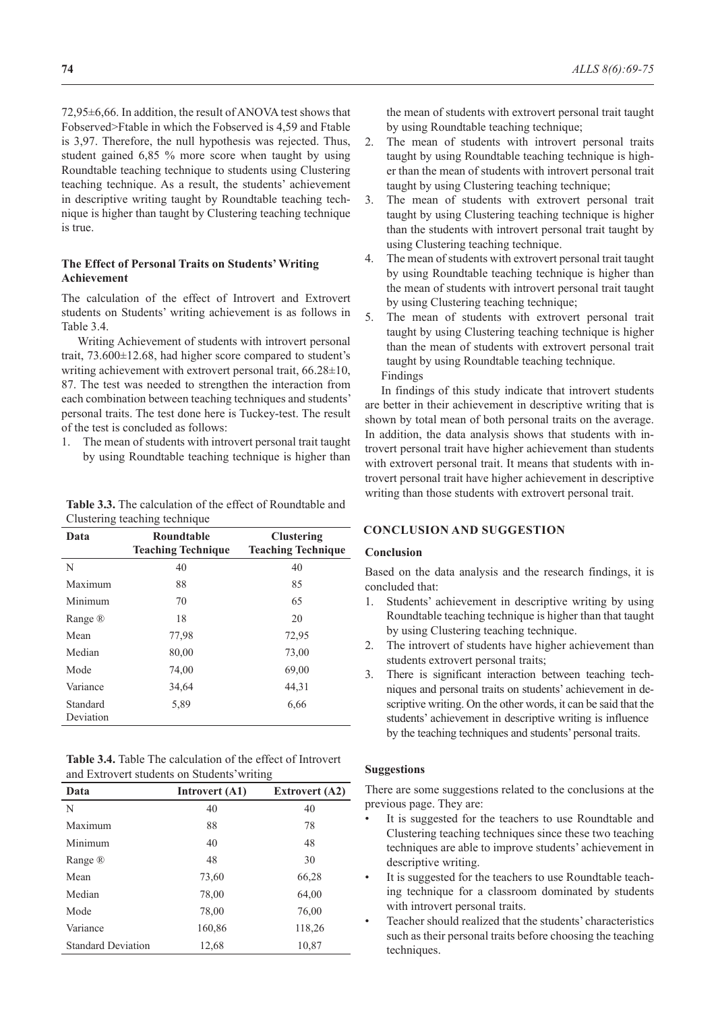72,95±6,66. In addition, the result of ANOVA test shows that Fobserved>Ftable in which the Fobserved is 4,59 and Ftable is 3,97. Therefore, the null hypothesis was rejected. Thus, student gained 6,85 % more score when taught by using Roundtable teaching technique to students using Clustering teaching technique. As a result, the students' achievement in descriptive writing taught by Roundtable teaching technique is higher than taught by Clustering teaching technique is true.

### **The Effect of Personal Traits on Students' Writing Achievement**

The calculation of the effect of Introvert and Extrovert students on Students' writing achievement is as follows in Table 3.4.

Writing Achievement of students with introvert personal trait, 73.600±12.68, had higher score compared to student's writing achievement with extrovert personal trait, 66.28±10, 87. The test was needed to strengthen the interaction from each combination between teaching techniques and students' personal traits. The test done here is Tuckey-test. The result of the test is concluded as follows:

1. The mean of students with introvert personal trait taught by using Roundtable teaching technique is higher than

**Table 3.3.** The calculation of the effect of Roundtable and Clustering teaching technique

| Data                  | Roundtable                | <b>Clustering</b>         |
|-----------------------|---------------------------|---------------------------|
|                       | <b>Teaching Technique</b> | <b>Teaching Technique</b> |
| N                     | 40                        | 40                        |
| Maximum               | 88                        | 85                        |
| Minimum               | 70                        | 65                        |
| Range ®               | 18                        | 20                        |
| Mean                  | 77,98                     | 72,95                     |
| Median                | 80,00                     | 73,00                     |
| Mode                  | 74,00                     | 69,00                     |
| Variance              | 34,64                     | 44,31                     |
| Standard<br>Deviation | 5,89                      | 6,66                      |

| <b>Table 3.4.</b> Table The calculation of the effect of Introvert |
|--------------------------------------------------------------------|
| and Extrovert students on Students' writing                        |

| Data                      | <b>Introvert</b> (A1) | <b>Extrovert</b> (A2) |
|---------------------------|-----------------------|-----------------------|
| N                         | 40                    | 40                    |
| Maximum                   | 88                    | 78                    |
| Minimum                   | 40                    | 48                    |
| Range ®                   | 48                    | 30                    |
| Mean                      | 73,60                 | 66,28                 |
| Median                    | 78,00                 | 64,00                 |
| Mode                      | 78,00                 | 76,00                 |
| Variance                  | 160,86                | 118,26                |
| <b>Standard Deviation</b> | 12,68                 | 10,87                 |

the mean of students with extrovert personal trait taught by using Roundtable teaching technique;

- 2. The mean of students with introvert personal traits taught by using Roundtable teaching technique is higher than the mean of students with introvert personal trait taught by using Clustering teaching technique;
- 3. The mean of students with extrovert personal trait taught by using Clustering teaching technique is higher than the students with introvert personal trait taught by using Clustering teaching technique.
- 4. The mean of students with extrovert personal trait taught by using Roundtable teaching technique is higher than the mean of students with introvert personal trait taught by using Clustering teaching technique;
- 5. The mean of students with extrovert personal trait taught by using Clustering teaching technique is higher than the mean of students with extrovert personal trait taught by using Roundtable teaching technique. Findings

In findings of this study indicate that introvert students are better in their achievement in descriptive writing that is shown by total mean of both personal traits on the average. In addition, the data analysis shows that students with introvert personal trait have higher achievement than students with extrovert personal trait. It means that students with introvert personal trait have higher achievement in descriptive writing than those students with extrovert personal trait.

### **CONCLUSION AND SUGGESTION**

### **Conclusion**

Based on the data analysis and the research findings, it is concluded that:

- 1. Students' achievement in descriptive writing by using Roundtable teaching technique is higher than that taught by using Clustering teaching technique.
- 2. The introvert of students have higher achievement than students extrovert personal traits;
- 3. There is significant interaction between teaching techniques and personal traits on students' achievement in descriptive writing. On the other words, it can be said that the students' achievement in descriptive writing is influence by the teaching techniques and students' personal traits.

## **Suggestions**

There are some suggestions related to the conclusions at the previous page. They are:

- It is suggested for the teachers to use Roundtable and Clustering teaching techniques since these two teaching techniques are able to improve students' achievement in descriptive writing.
- It is suggested for the teachers to use Roundtable teaching technique for a classroom dominated by students with introvert personal traits.
- Teacher should realized that the students' characteristics such as their personal traits before choosing the teaching techniques.